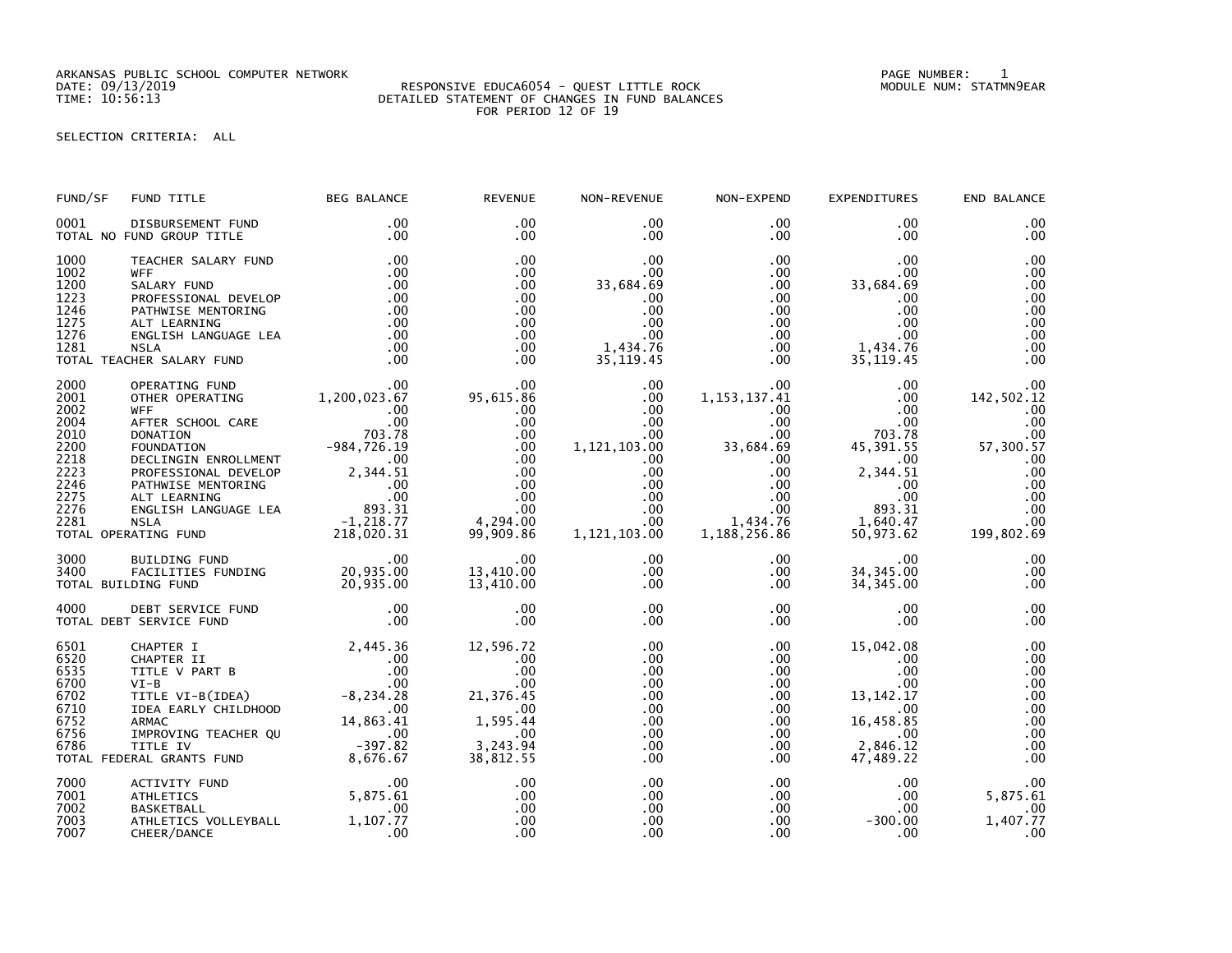ARKANSAS PUBLIC SCHOOL COMPUTER NETWORK PAGE NUMBER: 1

## SELECTION CRITERIA: ALL

| FUND/SF                                                                                      | FUND TITLE                                                                                                                                                                                                                                                 | <b>BEG BALANCE</b>                                                                                                                                              | <b>REVENUE</b>                                                                                                    | NON-REVENUE                                                                                                                                     | NON-EXPEND                                                                                                                                                     | <b>EXPENDITURES</b>                                                                                                                           | END BALANCE                                                                                                 |
|----------------------------------------------------------------------------------------------|------------------------------------------------------------------------------------------------------------------------------------------------------------------------------------------------------------------------------------------------------------|-----------------------------------------------------------------------------------------------------------------------------------------------------------------|-------------------------------------------------------------------------------------------------------------------|-------------------------------------------------------------------------------------------------------------------------------------------------|----------------------------------------------------------------------------------------------------------------------------------------------------------------|-----------------------------------------------------------------------------------------------------------------------------------------------|-------------------------------------------------------------------------------------------------------------|
| 0001                                                                                         | DISBURSEMENT FUND<br>TOTAL NO FUND GROUP TITLE                                                                                                                                                                                                             | $.00 \,$<br>.00                                                                                                                                                 | $.00 \times$<br>$.00 \,$                                                                                          | $.00 \,$<br>$.00 \,$                                                                                                                            | $.00 \,$<br>$.00 \,$                                                                                                                                           | $.00 \,$<br>.00.                                                                                                                              | .00<br>.00                                                                                                  |
| 1000<br>1002<br>1200<br>1223<br>1246<br>1275<br>1276<br>1281                                 | TEACHER SALARY FUND<br><b>WFF</b><br>SALARY FUND<br>PROFESSIONAL DEVELOP<br>PATHWISE MENTORING<br>ALT LEARNING<br>ENGLISH LANGUAGE LEA<br><b>NSLA</b><br>TOTAL TEACHER SALARY FUND                                                                         | .00<br>.00<br>.00<br>.00<br>.00<br>.00<br>.00<br>.00<br>.00                                                                                                     | .00<br>$.00 \times$<br>.00<br>$.00 \times$<br>.00<br>.00<br>.00<br>.00<br>.00                                     | .00<br>.00<br>33,684.69<br>.00<br>.00<br>.00<br>.00<br>1,434.76<br>35, 119.45                                                                   | $.00 \,$<br>$.00 \,$<br>$.00 \,$<br>$.00 \,$<br>.00 <sub>1</sub><br>$.00 \,$<br>$.00 \,$<br>.00<br>$.00 \,$                                                    | .00.<br>.00.<br>33,684.69<br>.00<br>.00<br>.00<br>.00<br>1,434.76<br>35, 119.45                                                               | .00<br>.00<br>.00<br>.00<br>.00<br>.00<br>.00<br>.00<br>.00                                                 |
| 2000<br>2001<br>2002<br>2004<br>2010<br>2200<br>2218<br>2223<br>2246<br>2275<br>2276<br>2281 | OPERATING FUND<br>OTHER OPERATING<br><b>WFF</b><br>AFTER SCHOOL CARE<br><b>DONATION</b><br>FOUNDATION<br>DECLINGIN ENROLLMENT<br>PROFESSIONAL DEVELOP<br>PATHWISE MENTORING<br>ALT LEARNING<br>ENGLISH LANGUAGE LEA<br><b>NSLA</b><br>TOTAL OPERATING FUND | 00.<br>1,200,023.67<br>$.00 \,$<br>00<br>00<br>703 .78<br>$-984,726.19$<br>.00<br>$2,344.51$<br>00<br>.00<br>.00<br>.893.31<br>893.31<br>1,218.77<br>218,020.31 | $.00 \times$<br>95,615.86<br>.00<br>.00<br>.00<br>.00<br>.00<br>.00<br>.00<br>.00<br>.00<br>4,294.00<br>99,909.86 | .00<br>.00<br>$.00 \,$<br>.00<br>.00 <sub>1</sub><br>1,121,103.00<br>$.00 \,$<br>.00<br>$.00 \,$<br>$.00 \,$<br>$.00 \,$<br>.00<br>1,121,103.00 | $.00 \,$<br>1, 153, 137.41<br>$.00 \,$<br>.00<br>$.00 \,$<br>33,684.69<br>$.00 \,$<br>$.00 \,$<br>$.00\,$<br>$.00\,$<br>$.00 \,$<br>1,434.76<br>1, 188, 256.86 | .00<br>$.00 \,$<br>.00<br>$.00 \,$<br>703.78<br>45, 391.55<br>$.00 \,$<br>2,344.51<br>$.00 \,$<br>$.00 \,$<br>893.31<br>1,640.47<br>50,973.62 | .00<br>142,502.12<br>.00<br>.00<br>.00<br>57,300.57<br>.00<br>.00<br>.00<br>.00<br>.00<br>.00<br>199,802.69 |
| 3000<br>3400                                                                                 | BUILDING FUND<br>FACILITIES FUNDING 20,935.00<br>DING FUND 20,935.00<br>TOTAL BUILDING FUND                                                                                                                                                                | .00                                                                                                                                                             | .00<br>13,410.00<br>13,410.00                                                                                     | $.00 \,$<br>$.00 \,$<br>.00.                                                                                                                    | $.00 \,$<br>$.00 \,$<br>$.00 \,$                                                                                                                               | .00<br>34, 345.00<br>34, 345.00                                                                                                               | .00<br>.00<br>.00                                                                                           |
| 4000                                                                                         | DEBT SERVICE FUND<br>TOTAL DEBT SERVICE FUND                                                                                                                                                                                                               | .00<br>.00                                                                                                                                                      | .00<br>.00                                                                                                        | $.00 \,$<br>.00                                                                                                                                 | $.00 \,$<br>.00                                                                                                                                                | $.00 \,$<br>.00                                                                                                                               | .00<br>.00                                                                                                  |
| 6501<br>6520<br>6535<br>6700<br>6702<br>6710<br>6752<br>6756<br>6786                         | CHAPTER I<br>CHAPTER II<br>TITLE V PART B<br>$VI-B$<br>TITLE VI-B(IDEA)<br>IDEA EARLY CHILDHOOD<br><b>ARMAC</b><br>IMPROVING TEACHER QU<br>TITLE IV<br>TOTAL FEDERAL GRANTS FUND                                                                           | 2,445.36<br>.00<br>.00<br>.00<br>$-8, 234.28$<br>$\sim$ .00<br>14,863.41<br>00.<br>82. 397 –<br>8 ,676 .67                                                      | 12,596.72<br>.00<br>.00<br>.00<br>21,376.45<br>.00<br>1,595.44<br>.00<br>3,243.94<br>38,812.55                    | .00<br>.00<br>.00<br>.00<br>.00<br>.00<br>.00<br>.00<br>$.00 \,$<br>.00                                                                         | $.00 \,$<br>$.00 \,$<br>$.00 \,$<br>.00<br>$.00 \,$<br>$.00 \,$<br>$.00 \,$<br>$.00 \,$<br>$.00 \,$<br>.00                                                     | 15,042.08<br>.00<br>$.00 \,$<br>.00<br>13, 142. 17<br>.00.<br>16,458.85<br>.00<br>2,846.12<br>47,489.22                                       | .00<br>.00<br>.00<br>.00<br>.00<br>.00<br>.00<br>.00<br>.00<br>.00                                          |
| 7000<br>7001<br>7002<br>7003<br>7007                                                         | ACTIVITY FUND<br><b>ATHLETICS</b><br><b>BASKETBALL</b><br>ATHLETICS VOLLEYBALL<br>CHEER/DANCE                                                                                                                                                              | $.00 \,$<br>5,875.61<br>.00<br>1,107.77<br>.00                                                                                                                  | .00<br>.00<br>.00<br>.00<br>.00                                                                                   | .00<br>.00<br>.00<br>.00<br>.00                                                                                                                 | $.00 \cdot$<br>$.00\,$<br>.00 <sub>1</sub><br>.00<br>.00                                                                                                       | $.00 \,$<br>.00<br>.00<br>$-300.00$<br>.00                                                                                                    | .00<br>5,875.61<br>.00<br>1,407.77<br>.00                                                                   |